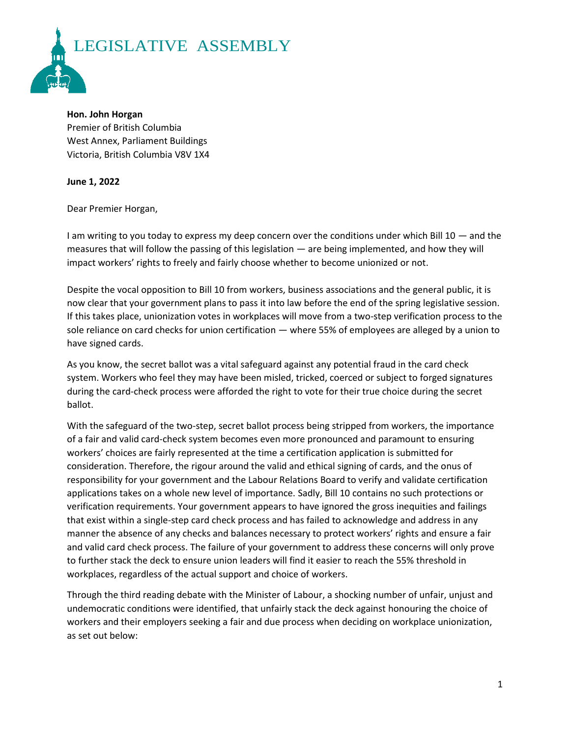

**Hon. John Horgan** Premier of British Columbia West Annex, Parliament Buildings Victoria, British Columbia V8V 1X4

## **June 1, 2022**

Dear Premier Horgan,

I am writing to you today to express my deep concern over the conditions under which Bill 10 — and the measures that will follow the passing of this legislation — are being implemented, and how they will impact workers' rights to freely and fairly choose whether to become unionized or not.

Despite the vocal opposition to Bill 10 from workers, business associations and the general public, it is now clear that your government plans to pass it into law before the end of the spring legislative session. If this takes place, unionization votes in workplaces will move from a two-step verification process to the sole reliance on card checks for union certification — where 55% of employees are alleged by a union to have signed cards.

As you know, the secret ballot was a vital safeguard against any potential fraud in the card check system. Workers who feel they may have been misled, tricked, coerced or subject to forged signatures during the card-check process were afforded the right to vote for their true choice during the secret ballot.

With the safeguard of the two-step, secret ballot process being stripped from workers, the importance of a fair and valid card-check system becomes even more pronounced and paramount to ensuring workers' choices are fairly represented at the time a certification application is submitted for consideration. Therefore, the rigour around the valid and ethical signing of cards, and the onus of responsibility for your government and the Labour Relations Board to verify and validate certification applications takes on a whole new level of importance. Sadly, Bill 10 contains no such protections or verification requirements. Your government appears to have ignored the gross inequities and failings that exist within a single-step card check process and has failed to acknowledge and address in any manner the absence of any checks and balances necessary to protect workers' rights and ensure a fair and valid card check process. The failure of your government to address these concerns will only prove to further stack the deck to ensure union leaders will find it easier to reach the 55% threshold in workplaces, regardless of the actual support and choice of workers.

Through the third reading debate with the Minister of Labour, a shocking number of unfair, unjust and undemocratic conditions were identified, that unfairly stack the deck against honouring the choice of workers and their employers seeking a fair and due process when deciding on workplace unionization, as set out below: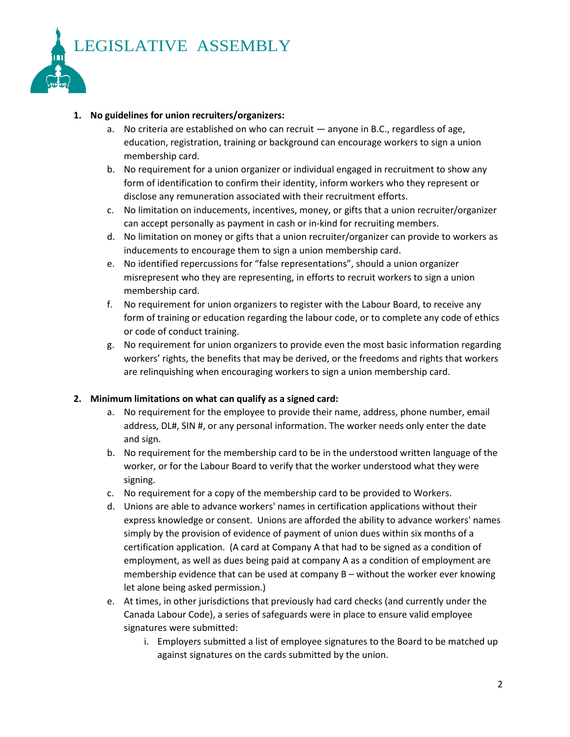

## **1. No guidelines for union recruiters/organizers:**

- a. No criteria are established on who can recruit anyone in B.C., regardless of age, education, registration, training or background can encourage workers to sign a union membership card.
- b. No requirement for a union organizer or individual engaged in recruitment to show any form of identification to confirm their identity, inform workers who they represent or disclose any remuneration associated with their recruitment efforts.
- c. No limitation on inducements, incentives, money, or gifts that a union recruiter/organizer can accept personally as payment in cash or in-kind for recruiting members.
- d. No limitation on money or gifts that a union recruiter/organizer can provide to workers as inducements to encourage them to sign a union membership card.
- e. No identified repercussions for "false representations", should a union organizer misrepresent who they are representing, in efforts to recruit workers to sign a union membership card.
- f. No requirement for union organizers to register with the Labour Board, to receive any form of training or education regarding the labour code, or to complete any code of ethics or code of conduct training.
- g. No requirement for union organizers to provide even the most basic information regarding workers' rights, the benefits that may be derived, or the freedoms and rights that workers are relinquishing when encouraging workers to sign a union membership card.

## **2. Minimum limitations on what can qualify as a signed card:**

- a. No requirement for the employee to provide their name, address, phone number, email address, DL#, SIN #, or any personal information. The worker needs only enter the date and sign.
- b. No requirement for the membership card to be in the understood written language of the worker, or for the Labour Board to verify that the worker understood what they were signing.
- c. No requirement for a copy of the membership card to be provided to Workers.
- d. Unions are able to advance workers' names in certification applications without their express knowledge or consent. Unions are afforded the ability to advance workers' names simply by the provision of evidence of payment of union dues within six months of a certification application. (A card at Company A that had to be signed as a condition of employment, as well as dues being paid at company A as a condition of employment are membership evidence that can be used at company  $B -$  without the worker ever knowing let alone being asked permission.)
- e. At times, in other jurisdictions that previously had card checks (and currently under the Canada Labour Code), a series of safeguards were in place to ensure valid employee signatures were submitted:
	- i. Employers submitted a list of employee signatures to the Board to be matched up against signatures on the cards submitted by the union.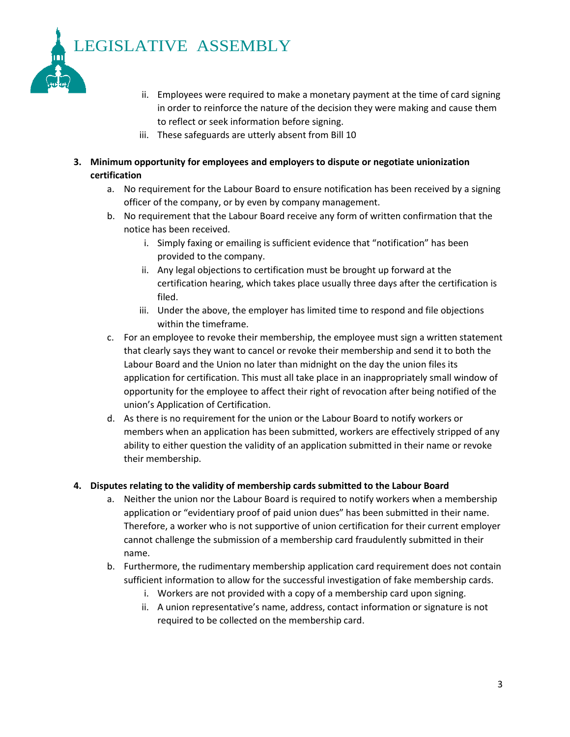LEGISLATIVE ASSEMBLY



- ii. Employees were required to make a monetary payment at the time of card signing in order to reinforce the nature of the decision they were making and cause them to reflect or seek information before signing.
- iii. These safeguards are utterly absent from Bill 10
- **3. Minimum opportunity for employees and employers to dispute or negotiate unionization certification**
	- a. No requirement for the Labour Board to ensure notification has been received by a signing officer of the company, or by even by company management.
	- b. No requirement that the Labour Board receive any form of written confirmation that the notice has been received.
		- i. Simply faxing or emailing is sufficient evidence that "notification" has been provided to the company.
		- ii. Any legal objections to certification must be brought up forward at the certification hearing, which takes place usually three days after the certification is filed.
		- iii. Under the above, the employer has limited time to respond and file objections within the timeframe.
	- c. For an employee to revoke their membership, the employee must sign a written statement that clearly says they want to cancel or revoke their membership and send it to both the Labour Board and the Union no later than midnight on the day the union files its application for certification. This must all take place in an inappropriately small window of opportunity for the employee to affect their right of revocation after being notified of the union's Application of Certification.
	- d. As there is no requirement for the union or the Labour Board to notify workers or members when an application has been submitted, workers are effectively stripped of any ability to either question the validity of an application submitted in their name or revoke their membership.

## **4. Disputes relating to the validity of membership cards submitted to the Labour Board**

- a. Neither the union nor the Labour Board is required to notify workers when a membership application or "evidentiary proof of paid union dues" has been submitted in their name. Therefore, a worker who is not supportive of union certification for their current employer cannot challenge the submission of a membership card fraudulently submitted in their name.
- b. Furthermore, the rudimentary membership application card requirement does not contain sufficient information to allow for the successful investigation of fake membership cards.
	- i. Workers are not provided with a copy of a membership card upon signing.
	- ii. A union representative's name, address, contact information or signature is not required to be collected on the membership card.